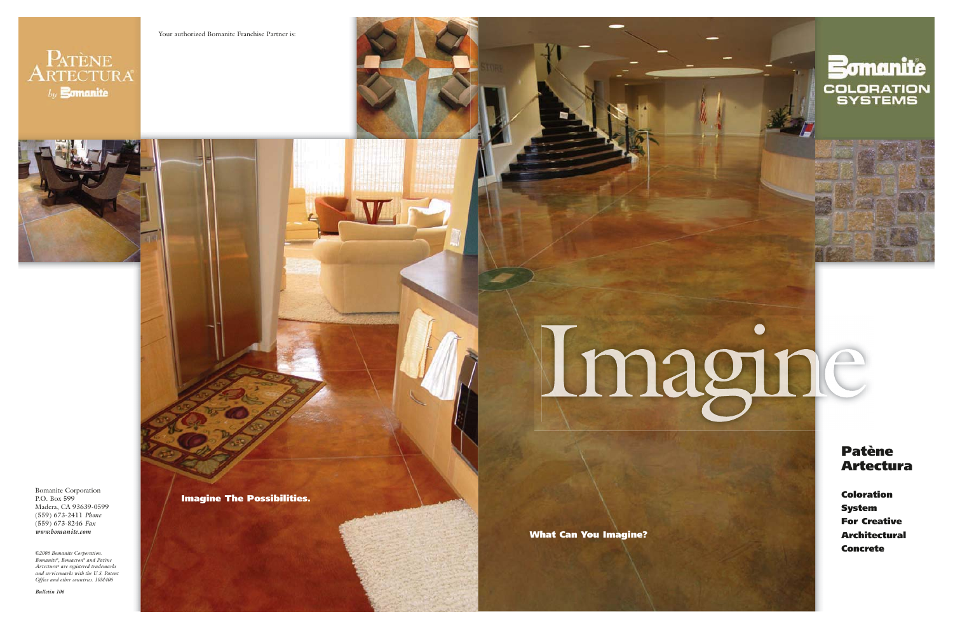Bomanite Corporation P.O. Box 599 Madera, CA 93639-0599 (559) 673-2411 *Phone* (559) 673-8246 *Fax www.bomanite.com*

*©2006 Bomanite Corporation. Bomanite®, Bomacron® and Patène Artectura® are registered trademarks and servicemarks with the U.S. Patent Office and other countries. 10M406* 

*Bulletin 106*





**What Can You Imagine?**

**Patène Artectura**

 $\bullet$ 

**Coloration System For Creative Architectural Concrete**

**Imagine The Possibilities.**

## Imagine